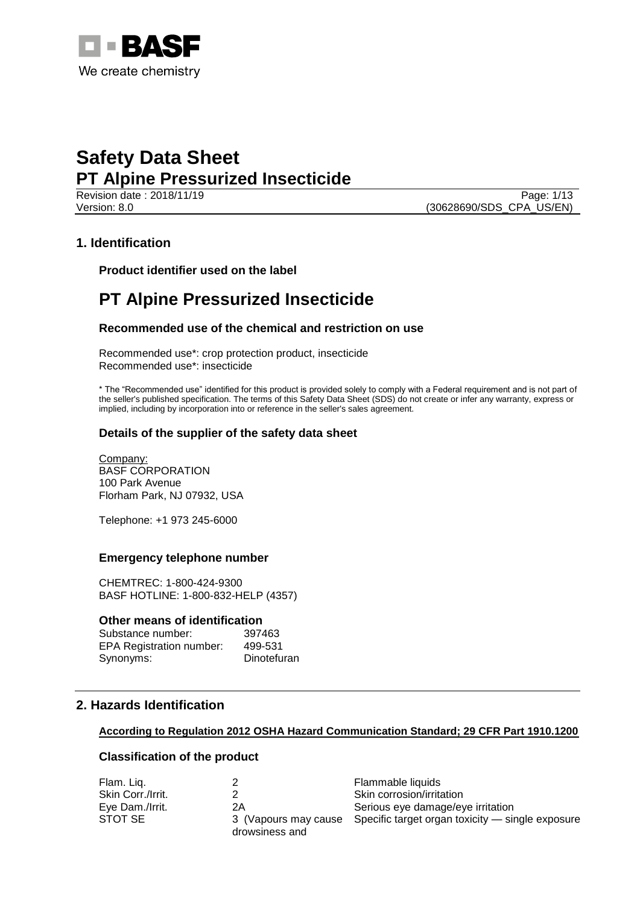

Revision date : 2018/11/19 Page: 1/13 Version: 8.0 (30628690/SDS\_CPA\_US/EN)

## **1. Identification**

**Product identifier used on the label**

## **PT Alpine Pressurized Insecticide**

## **Recommended use of the chemical and restriction on use**

Recommended use\*: crop protection product, insecticide Recommended use\*: insecticide

\* The "Recommended use" identified for this product is provided solely to comply with a Federal requirement and is not part of the seller's published specification. The terms of this Safety Data Sheet (SDS) do not create or infer any warranty, express or implied, including by incorporation into or reference in the seller's sales agreement.

## **Details of the supplier of the safety data sheet**

Company: BASF CORPORATION 100 Park Avenue Florham Park, NJ 07932, USA

Telephone: +1 973 245-6000

#### **Emergency telephone number**

CHEMTREC: 1-800-424-9300 BASF HOTLINE: 1-800-832-HELP (4357)

#### **Other means of identification**

| Substance number:               | 397463      |
|---------------------------------|-------------|
| <b>EPA Registration number:</b> | 499-531     |
| Synonyms:                       | Dinotefuran |

## **2. Hazards Identification**

#### **According to Regulation 2012 OSHA Hazard Communication Standard; 29 CFR Part 1910.1200**

#### **Classification of the product**

| Flam. Liq.        |                | Flammable liquids                                                     |
|-------------------|----------------|-----------------------------------------------------------------------|
| Skin Corr./Irrit. |                | Skin corrosion/irritation                                             |
| Eye Dam./Irrit.   | 2Α             | Serious eye damage/eye irritation                                     |
| STOT SE           | drowsiness and | 3 (Vapours may cause Specific target organ toxicity — single exposure |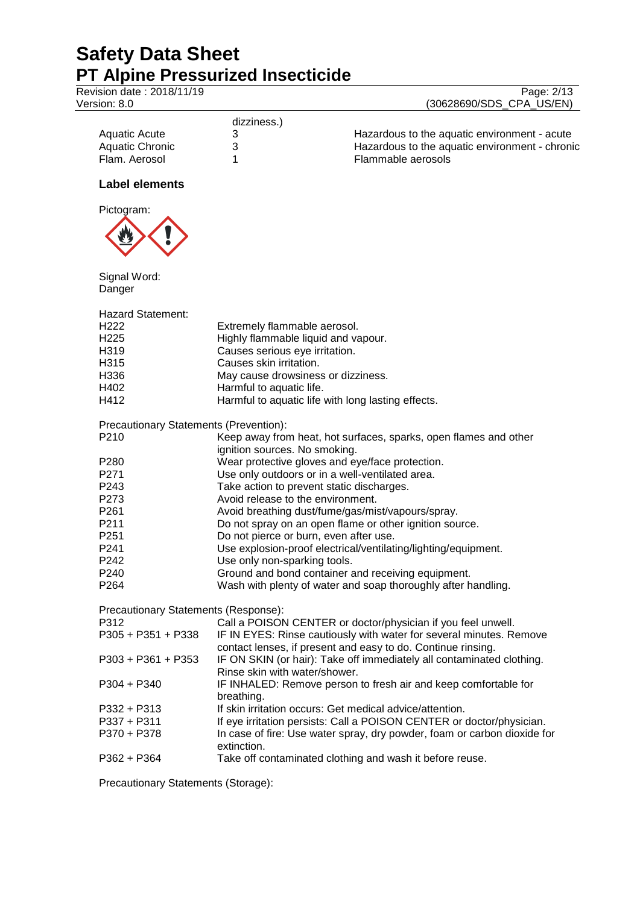Version: 8.0

| Revision date : 2018/11/19 | Page: 2/13               |
|----------------------------|--------------------------|
| Version: 8.0               | (30628690/SDS CPA US/EN) |

|                 | dizziness.) |                                                |
|-----------------|-------------|------------------------------------------------|
| Aquatic Acute   |             | Hazardous to the aquatic environment - acute   |
| Aquatic Chronic |             | Hazardous to the aquatic environment - chronic |
| Flam, Aerosol   |             | Flammable aerosols                             |

## **Label elements**



Signal Word: Danger

Hazard Statement:

| H222                                          | Extremely flammable aerosol.                                                                                                        |
|-----------------------------------------------|-------------------------------------------------------------------------------------------------------------------------------------|
| H <sub>225</sub>                              | Highly flammable liquid and vapour.                                                                                                 |
| H319                                          | Causes serious eye irritation.                                                                                                      |
| H315                                          | Causes skin irritation.                                                                                                             |
| H336                                          | May cause drowsiness or dizziness.                                                                                                  |
| H402                                          | Harmful to aquatic life.                                                                                                            |
| H412                                          | Harmful to aquatic life with long lasting effects.                                                                                  |
| <b>Precautionary Statements (Prevention):</b> |                                                                                                                                     |
| P210                                          | Keep away from heat, hot surfaces, sparks, open flames and other                                                                    |
|                                               | ignition sources. No smoking.                                                                                                       |
| P280                                          | Wear protective gloves and eye/face protection.                                                                                     |
| P271                                          | Use only outdoors or in a well-ventilated area.                                                                                     |
| P243                                          | Take action to prevent static discharges.                                                                                           |
| P273                                          | Avoid release to the environment.                                                                                                   |
| P261                                          | Avoid breathing dust/fume/gas/mist/vapours/spray.                                                                                   |
| P211                                          | Do not spray on an open flame or other ignition source.                                                                             |
| P251                                          | Do not pierce or burn, even after use.                                                                                              |
| P241                                          | Use explosion-proof electrical/ventilating/lighting/equipment.                                                                      |
| P242                                          | Use only non-sparking tools.                                                                                                        |
| P240                                          | Ground and bond container and receiving equipment.                                                                                  |
| P264                                          | Wash with plenty of water and soap thoroughly after handling.                                                                       |
| Precautionary Statements (Response):          |                                                                                                                                     |
| P312                                          | Call a POISON CENTER or doctor/physician if you feel unwell.                                                                        |
| P305 + P351 + P338                            | IF IN EYES: Rinse cautiously with water for several minutes. Remove<br>contact lenses, if present and easy to do. Continue rinsing. |
| P303 + P361 + P353                            | IF ON SKIN (or hair): Take off immediately all contaminated clothing.<br>Rinse skin with water/shower.                              |
| P304 + P340                                   | IF INHALED: Remove person to fresh air and keep comfortable for<br>breathing.                                                       |
| P332 + P313                                   | If skin irritation occurs: Get medical advice/attention.                                                                            |
| P337 + P311                                   | If eye irritation persists: Call a POISON CENTER or doctor/physician.                                                               |
| P370 + P378                                   | In case of fire: Use water spray, dry powder, foam or carbon dioxide for<br>extinction.                                             |
| P362 + P364                                   | Take off contaminated clothing and wash it before reuse.                                                                            |

Precautionary Statements (Storage):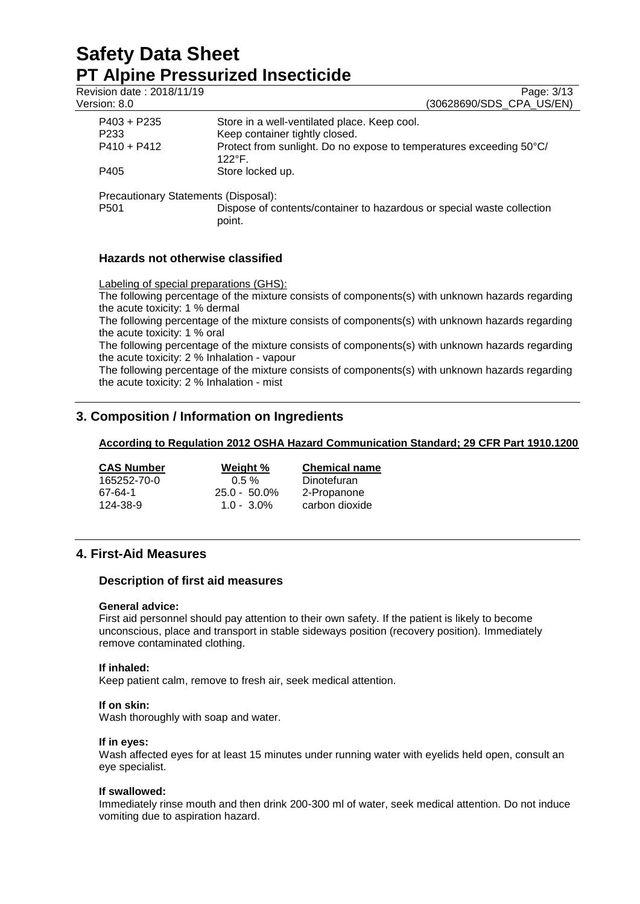# **Safety Data Sheet PT Alpine Pressurized Insecticide**<br>Revision date: 2018/11/19

| Page: 3/13<br>(30628690/SDS CPA US/EN)                                                  |
|-----------------------------------------------------------------------------------------|
| Store in a well-ventilated place. Keep cool.                                            |
| Keep container tightly closed.                                                          |
| Protect from sunlight. Do no expose to temperatures exceeding 50°C/<br>$122^{\circ}$ F. |
| Store locked up.                                                                        |
| Precautionary Statements (Disposal):                                                    |
| Dispose of contents/container to hazardous or special waste collection<br>point.        |
|                                                                                         |
|                                                                                         |

## **Hazards not otherwise classified**

Labeling of special preparations (GHS): The following percentage of the mixture consists of components(s) with unknown hazards regarding the acute toxicity: 1 % dermal The following percentage of the mixture consists of components(s) with unknown hazards regarding the acute toxicity: 1 % oral The following percentage of the mixture consists of components(s) with unknown hazards regarding the acute toxicity: 2 % Inhalation - vapour The following percentage of the mixture consists of components(s) with unknown hazards regarding

the acute toxicity: 2 % Inhalation - mist

## **3. Composition / Information on Ingredients**

## **According to Regulation 2012 OSHA Hazard Communication Standard; 29 CFR Part 1910.1200**

| <b>CAS Number</b> | Weight %        | <b>Chemical name</b> |
|-------------------|-----------------|----------------------|
| 165252-70-0       | $0.5 \%$        | Dinotefuran          |
| 67-64-1           | $25.0 - 50.0\%$ | 2-Propanone          |
| 124-38-9          | $1.0 - 3.0\%$   | carbon dioxide       |

## **4. First-Aid Measures**

## **Description of first aid measures**

## **General advice:**

First aid personnel should pay attention to their own safety. If the patient is likely to become unconscious, place and transport in stable sideways position (recovery position). Immediately remove contaminated clothing.

## **If inhaled:**

Keep patient calm, remove to fresh air, seek medical attention.

#### **If on skin:**

Wash thoroughly with soap and water.

#### **If in eyes:**

Wash affected eyes for at least 15 minutes under running water with eyelids held open, consult an eye specialist.

## **If swallowed:**

Immediately rinse mouth and then drink 200-300 ml of water, seek medical attention. Do not induce vomiting due to aspiration hazard.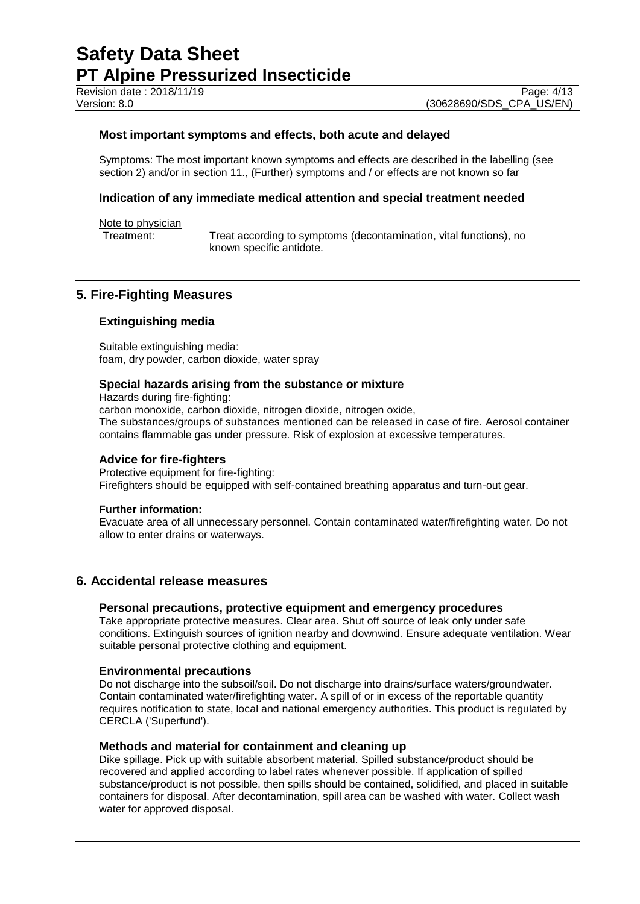## **Most important symptoms and effects, both acute and delayed**

Symptoms: The most important known symptoms and effects are described in the labelling (see section 2) and/or in section 11., (Further) symptoms and / or effects are not known so far

#### **Indication of any immediate medical attention and special treatment needed**

Note to physician<br>Treatment:

Treat according to symptoms (decontamination, vital functions), no known specific antidote.

## **5. Fire-Fighting Measures**

#### **Extinguishing media**

Suitable extinguishing media: foam, dry powder, carbon dioxide, water spray

#### **Special hazards arising from the substance or mixture**

Hazards during fire-fighting: carbon monoxide, carbon dioxide, nitrogen dioxide, nitrogen oxide, The substances/groups of substances mentioned can be released in case of fire. Aerosol container contains flammable gas under pressure. Risk of explosion at excessive temperatures.

#### **Advice for fire-fighters**

Protective equipment for fire-fighting: Firefighters should be equipped with self-contained breathing apparatus and turn-out gear.

#### **Further information:**

Evacuate area of all unnecessary personnel. Contain contaminated water/firefighting water. Do not allow to enter drains or waterways.

## **6. Accidental release measures**

#### **Personal precautions, protective equipment and emergency procedures**

Take appropriate protective measures. Clear area. Shut off source of leak only under safe conditions. Extinguish sources of ignition nearby and downwind. Ensure adequate ventilation. Wear suitable personal protective clothing and equipment.

#### **Environmental precautions**

Do not discharge into the subsoil/soil. Do not discharge into drains/surface waters/groundwater. Contain contaminated water/firefighting water. A spill of or in excess of the reportable quantity requires notification to state, local and national emergency authorities. This product is regulated by CERCLA ('Superfund').

#### **Methods and material for containment and cleaning up**

Dike spillage. Pick up with suitable absorbent material. Spilled substance/product should be recovered and applied according to label rates whenever possible. If application of spilled substance/product is not possible, then spills should be contained, solidified, and placed in suitable containers for disposal. After decontamination, spill area can be washed with water. Collect wash water for approved disposal.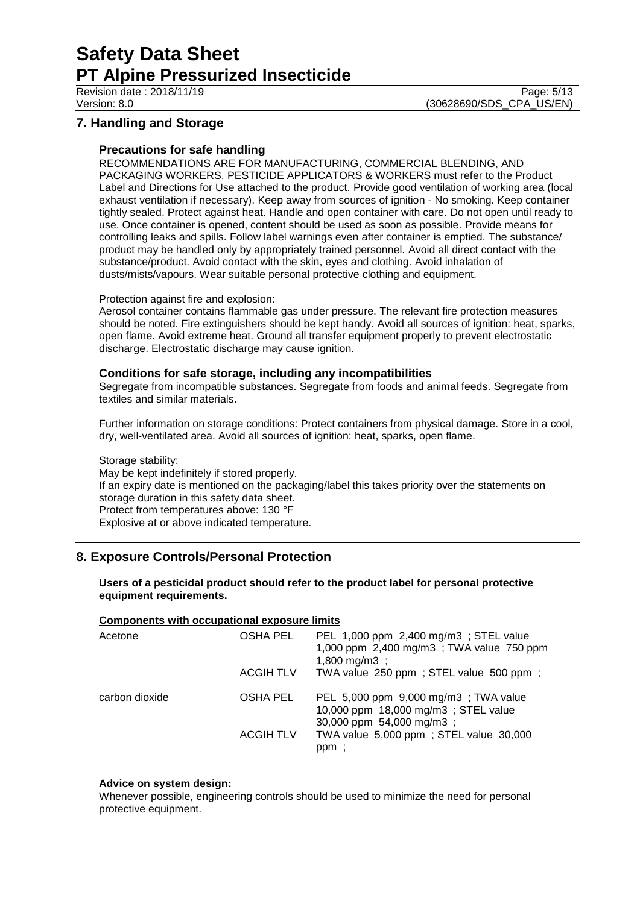Revision date : 2018/11/19 Page: 5/13

Version: 8.0 (30628690/SDS\_CPA\_US/EN)

## **7. Handling and Storage**

#### **Precautions for safe handling**

RECOMMENDATIONS ARE FOR MANUFACTURING, COMMERCIAL BLENDING, AND PACKAGING WORKERS. PESTICIDE APPLICATORS & WORKERS must refer to the Product Label and Directions for Use attached to the product. Provide good ventilation of working area (local exhaust ventilation if necessary). Keep away from sources of ignition - No smoking. Keep container tightly sealed. Protect against heat. Handle and open container with care. Do not open until ready to use. Once container is opened, content should be used as soon as possible. Provide means for controlling leaks and spills. Follow label warnings even after container is emptied. The substance/ product may be handled only by appropriately trained personnel. Avoid all direct contact with the substance/product. Avoid contact with the skin, eyes and clothing. Avoid inhalation of dusts/mists/vapours. Wear suitable personal protective clothing and equipment.

#### Protection against fire and explosion:

Aerosol container contains flammable gas under pressure. The relevant fire protection measures should be noted. Fire extinguishers should be kept handy. Avoid all sources of ignition: heat, sparks, open flame. Avoid extreme heat. Ground all transfer equipment properly to prevent electrostatic discharge. Electrostatic discharge may cause ignition.

#### **Conditions for safe storage, including any incompatibilities**

Segregate from incompatible substances. Segregate from foods and animal feeds. Segregate from textiles and similar materials.

Further information on storage conditions: Protect containers from physical damage. Store in a cool, dry, well-ventilated area. Avoid all sources of ignition: heat, sparks, open flame.

#### Storage stability:

May be kept indefinitely if stored properly. If an expiry date is mentioned on the packaging/label this takes priority over the statements on storage duration in this safety data sheet. Protect from temperatures above: 130 °F Explosive at or above indicated temperature.

## **8. Exposure Controls/Personal Protection**

#### **Users of a pesticidal product should refer to the product label for personal protective equipment requirements.**

#### **Components with occupational exposure limits**

| Acetone        | OSHA PEL         | PEL 1,000 ppm 2,400 mg/m3 ; STEL value<br>1,000 ppm 2,400 mg/m3; TWA value 750 ppm<br>1,800 mg/m3 ;     |
|----------------|------------------|---------------------------------------------------------------------------------------------------------|
|                | <b>ACGIH TLV</b> | TWA value 250 ppm; STEL value 500 ppm;                                                                  |
| carbon dioxide | <b>OSHA PEL</b>  | PEL 5,000 ppm 9,000 mg/m3; TWA value<br>10,000 ppm 18,000 mg/m3; STEL value<br>30,000 ppm 54,000 mg/m3; |
|                | <b>ACGIH TLV</b> | TWA value 5,000 ppm; STEL value 30,000<br>ppm;                                                          |

#### **Advice on system design:**

Whenever possible, engineering controls should be used to minimize the need for personal protective equipment.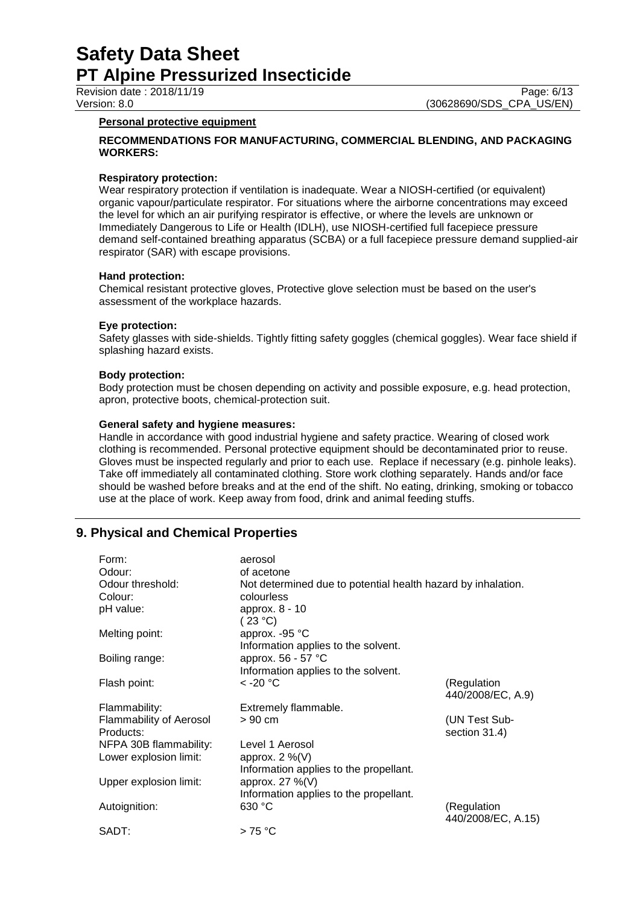Revision date : 2018/11/19 Page: 6/13

Version: 8.0 (30628690/SDS\_CPA\_US/EN)

#### **Personal protective equipment**

#### **RECOMMENDATIONS FOR MANUFACTURING, COMMERCIAL BLENDING, AND PACKAGING WORKERS:**

#### **Respiratory protection:**

Wear respiratory protection if ventilation is inadequate. Wear a NIOSH-certified (or equivalent) organic vapour/particulate respirator. For situations where the airborne concentrations may exceed the level for which an air purifying respirator is effective, or where the levels are unknown or Immediately Dangerous to Life or Health (IDLH), use NIOSH-certified full facepiece pressure demand self-contained breathing apparatus (SCBA) or a full facepiece pressure demand supplied-air respirator (SAR) with escape provisions.

#### **Hand protection:**

Chemical resistant protective gloves, Protective glove selection must be based on the user's assessment of the workplace hazards.

#### **Eye protection:**

Safety glasses with side-shields. Tightly fitting safety goggles (chemical goggles). Wear face shield if splashing hazard exists.

#### **Body protection:**

Body protection must be chosen depending on activity and possible exposure, e.g. head protection, apron, protective boots, chemical-protection suit.

#### **General safety and hygiene measures:**

Handle in accordance with good industrial hygiene and safety practice. Wearing of closed work clothing is recommended. Personal protective equipment should be decontaminated prior to reuse. Gloves must be inspected regularly and prior to each use. Replace if necessary (e.g. pinhole leaks). Take off immediately all contaminated clothing. Store work clothing separately. Hands and/or face should be washed before breaks and at the end of the shift. No eating, drinking, smoking or tobacco use at the place of work. Keep away from food, drink and animal feeding stuffs.

## **9. Physical and Chemical Properties**

| Form:                          | aerosol                                                      |                    |
|--------------------------------|--------------------------------------------------------------|--------------------|
| Odour:                         | of acetone                                                   |                    |
| Odour threshold:               | Not determined due to potential health hazard by inhalation. |                    |
| Colour:                        | colourless                                                   |                    |
| pH value:                      | approx. 8 - 10                                               |                    |
|                                | (23 °C)                                                      |                    |
| Melting point:                 | approx. -95 °C                                               |                    |
|                                | Information applies to the solvent.                          |                    |
| Boiling range:                 | approx. 56 - 57 °C                                           |                    |
|                                | Information applies to the solvent.                          |                    |
| Flash point:                   | $<$ -20 $^{\circ}$ C                                         | (Regulation        |
|                                |                                                              | 440/2008/EC, A.9)  |
| Flammability:                  | Extremely flammable.                                         |                    |
| <b>Flammability of Aerosol</b> | $>90$ cm                                                     | (UN Test Sub-      |
| Products:                      |                                                              | section 31.4)      |
| NFPA 30B flammability:         | Level 1 Aerosol                                              |                    |
| Lower explosion limit:         | approx. $2\%$ (V)                                            |                    |
|                                | Information applies to the propellant.                       |                    |
| Upper explosion limit:         | approx. $27\%$ (V)                                           |                    |
|                                | Information applies to the propellant.                       |                    |
| Autoignition:                  | 630 °C                                                       | (Regulation        |
|                                |                                                              | 440/2008/EC, A.15) |
| SADT:                          | $>75^{\circ}$ C                                              |                    |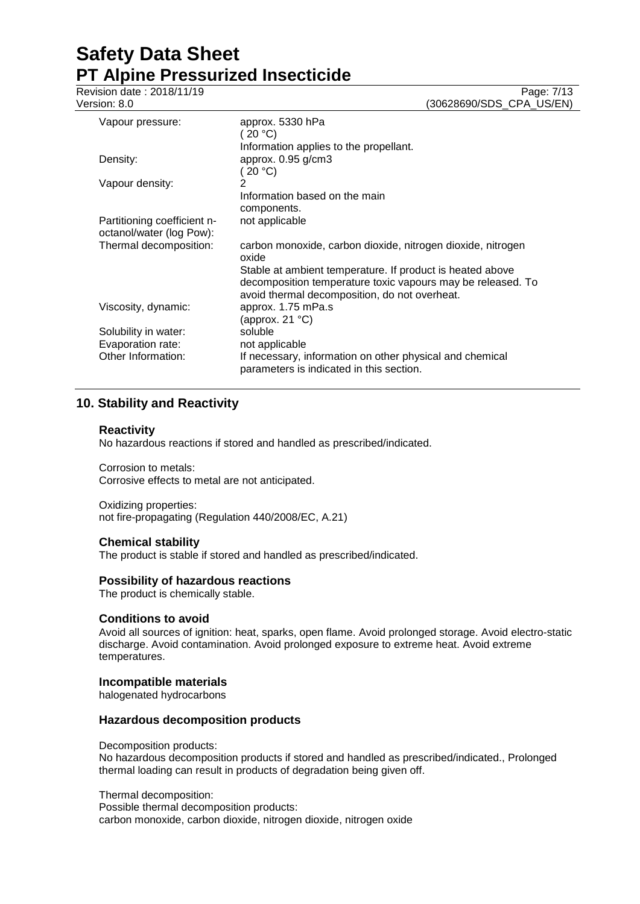Revision date : 2018/11/19 Page: 7/13

Version: 8.0 (30628690/SDS\_CPA\_US/EN)

| Vapour pressure:                                        | approx. 5330 hPa<br>( 20 °C)                                                                                             |
|---------------------------------------------------------|--------------------------------------------------------------------------------------------------------------------------|
|                                                         | Information applies to the propellant.                                                                                   |
| Density:                                                | approx. 0.95 g/cm3                                                                                                       |
|                                                         | 20 °C                                                                                                                    |
| Vapour density:                                         | 2                                                                                                                        |
|                                                         | Information based on the main                                                                                            |
|                                                         | components.                                                                                                              |
| Partitioning coefficient n-<br>octanol/water (log Pow): | not applicable                                                                                                           |
| Thermal decomposition:                                  | carbon monoxide, carbon dioxide, nitrogen dioxide, nitrogen<br>oxide                                                     |
|                                                         | Stable at ambient temperature. If product is heated above<br>decomposition temperature toxic vapours may be released. To |
|                                                         | avoid thermal decomposition, do not overheat.                                                                            |
| Viscosity, dynamic:                                     | approx. 1.75 mPa.s<br>(approx. 21 °C)                                                                                    |
| Solubility in water:                                    | soluble                                                                                                                  |
| Evaporation rate:                                       | not applicable                                                                                                           |
| Other Information:                                      | If necessary, information on other physical and chemical<br>parameters is indicated in this section.                     |

## **10. Stability and Reactivity**

#### **Reactivity**

No hazardous reactions if stored and handled as prescribed/indicated.

Corrosion to metals: Corrosive effects to metal are not anticipated.

Oxidizing properties: not fire-propagating (Regulation 440/2008/EC, A.21)

## **Chemical stability**

The product is stable if stored and handled as prescribed/indicated.

#### **Possibility of hazardous reactions**

The product is chemically stable.

## **Conditions to avoid**

Avoid all sources of ignition: heat, sparks, open flame. Avoid prolonged storage. Avoid electro-static discharge. Avoid contamination. Avoid prolonged exposure to extreme heat. Avoid extreme temperatures.

#### **Incompatible materials**

halogenated hydrocarbons

#### **Hazardous decomposition products**

Decomposition products: No hazardous decomposition products if stored and handled as prescribed/indicated., Prolonged

Thermal decomposition: Possible thermal decomposition products: carbon monoxide, carbon dioxide, nitrogen dioxide, nitrogen oxide

thermal loading can result in products of degradation being given off.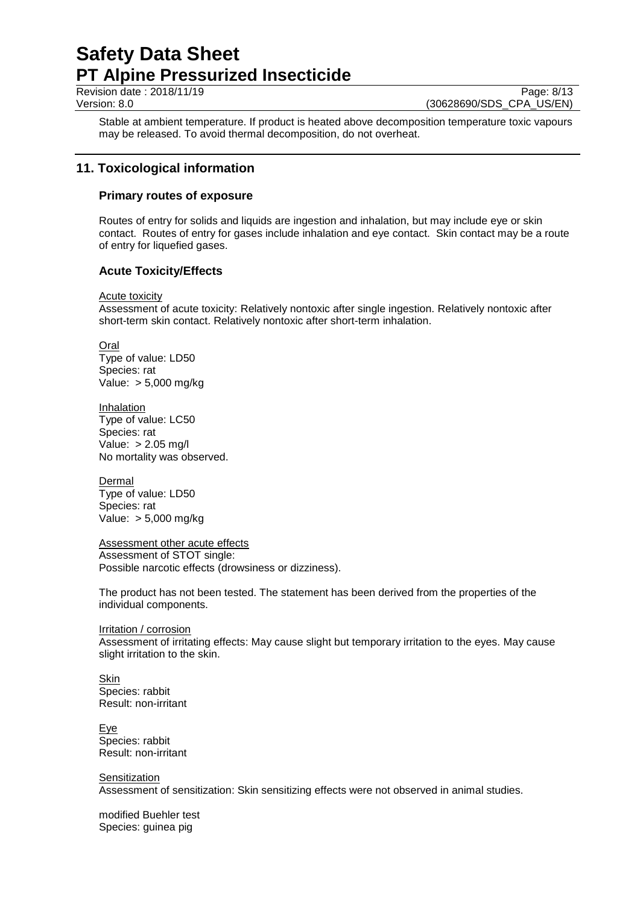Revision date : 2018/11/19 Page: 8/13

Version: 8.0 (30628690/SDS\_CPA\_US/EN)

Stable at ambient temperature. If product is heated above decomposition temperature toxic vapours may be released. To avoid thermal decomposition, do not overheat.

## **11. Toxicological information**

## **Primary routes of exposure**

Routes of entry for solids and liquids are ingestion and inhalation, but may include eye or skin contact. Routes of entry for gases include inhalation and eye contact. Skin contact may be a route of entry for liquefied gases.

## **Acute Toxicity/Effects**

#### **Acute toxicity**

Assessment of acute toxicity: Relatively nontoxic after single ingestion. Relatively nontoxic after short-term skin contact. Relatively nontoxic after short-term inhalation.

**Oral** Type of value: LD50 Species: rat Value: > 5,000 mg/kg

Inhalation Type of value: LC50 Species: rat Value: > 2.05 mg/l No mortality was observed.

**Dermal** Type of value: LD50 Species: rat Value: > 5,000 mg/kg

Assessment other acute effects Assessment of STOT single: Possible narcotic effects (drowsiness or dizziness).

The product has not been tested. The statement has been derived from the properties of the individual components.

Irritation / corrosion

Assessment of irritating effects: May cause slight but temporary irritation to the eyes. May cause slight irritation to the skin.

**Skin** Species: rabbit Result: non-irritant

Eye Species: rabbit Result: non-irritant

**Sensitization** Assessment of sensitization: Skin sensitizing effects were not observed in animal studies.

modified Buehler test Species: guinea pig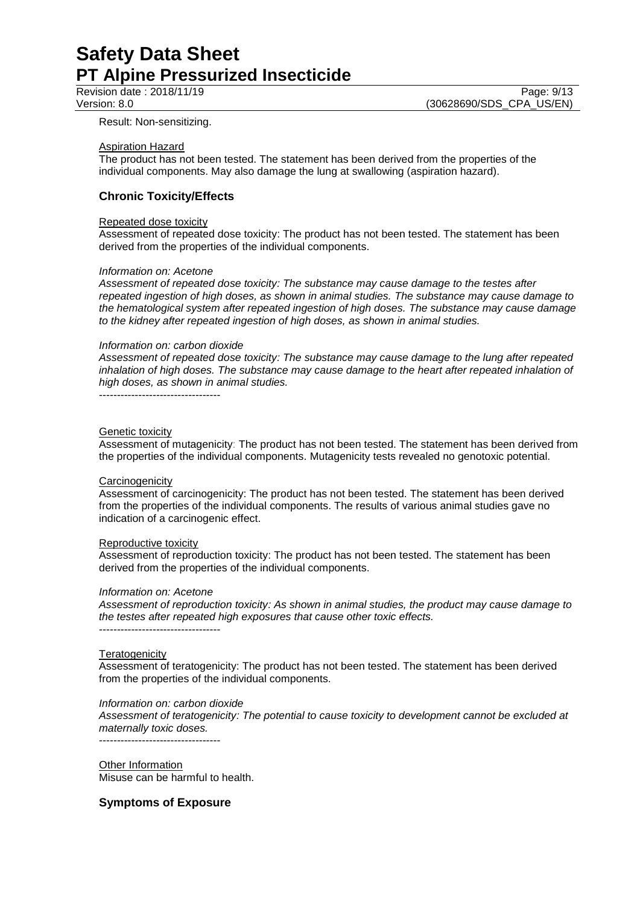Revision date : 2018/11/19 Page: 9/13<br>Version: 8.0 (30628690/SDS\_CPA\_US/EN) (30628690/SDS\_CPA\_US/EN)

Result: Non-sensitizing.

#### Aspiration Hazard

The product has not been tested. The statement has been derived from the properties of the individual components. May also damage the lung at swallowing (aspiration hazard).

## **Chronic Toxicity/Effects**

#### Repeated dose toxicity

Assessment of repeated dose toxicity: The product has not been tested. The statement has been derived from the properties of the individual components.

#### *Information on: Acetone*

*Assessment of repeated dose toxicity: The substance may cause damage to the testes after repeated ingestion of high doses, as shown in animal studies. The substance may cause damage to the hematological system after repeated ingestion of high doses. The substance may cause damage to the kidney after repeated ingestion of high doses, as shown in animal studies.*

#### *Information on: carbon dioxide*

*Assessment of repeated dose toxicity: The substance may cause damage to the lung after repeated inhalation of high doses. The substance may cause damage to the heart after repeated inhalation of high doses, as shown in animal studies.*

----------------------------------

#### Genetic toxicity

Assessment of mutagenicity: The product has not been tested. The statement has been derived from the properties of the individual components. Mutagenicity tests revealed no genotoxic potential.

#### **Carcinogenicity**

Assessment of carcinogenicity: The product has not been tested. The statement has been derived from the properties of the individual components. The results of various animal studies gave no indication of a carcinogenic effect.

#### Reproductive toxicity

Assessment of reproduction toxicity: The product has not been tested. The statement has been derived from the properties of the individual components.

#### *Information on: Acetone*

*Assessment of reproduction toxicity: As shown in animal studies, the product may cause damage to the testes after repeated high exposures that cause other toxic effects.* ----------------------------------

#### **Teratogenicity**

Assessment of teratogenicity: The product has not been tested. The statement has been derived from the properties of the individual components.

#### *Information on: carbon dioxide*

*Assessment of teratogenicity: The potential to cause toxicity to development cannot be excluded at maternally toxic doses.*

----------------------------------

Other Information Misuse can be harmful to health.

## **Symptoms of Exposure**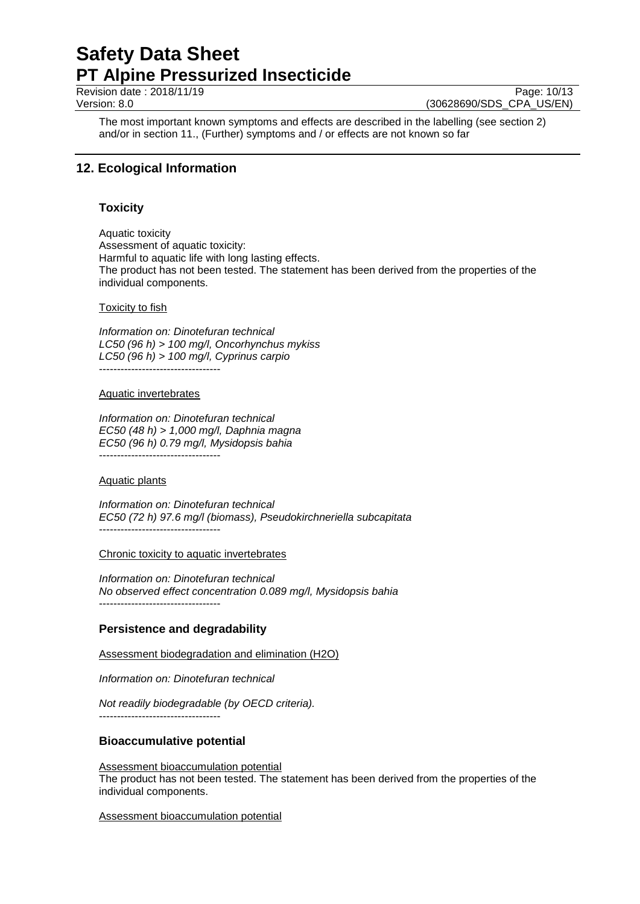Revision date : 2018/11/19 Page: 10/13

Version: 8.0 (30628690/SDS\_CPA\_US/EN)

The most important known symptoms and effects are described in the labelling (see section 2) and/or in section 11., (Further) symptoms and / or effects are not known so far

## **12. Ecological Information**

## **Toxicity**

Aquatic toxicity Assessment of aquatic toxicity: Harmful to aquatic life with long lasting effects. The product has not been tested. The statement has been derived from the properties of the individual components.

#### Toxicity to fish

*Information on: Dinotefuran technical LC50 (96 h) > 100 mg/l, Oncorhynchus mykiss LC50 (96 h) > 100 mg/l, Cyprinus carpio* ----------------------------------

## Aquatic invertebrates

*Information on: Dinotefuran technical EC50 (48 h) > 1,000 mg/l, Daphnia magna EC50 (96 h) 0.79 mg/l, Mysidopsis bahia* ----------------------------------

#### Aquatic plants

*Information on: Dinotefuran technical EC50 (72 h) 97.6 mg/l (biomass), Pseudokirchneriella subcapitata* ----------------------------------

#### Chronic toxicity to aquatic invertebrates

*Information on: Dinotefuran technical No observed effect concentration 0.089 mg/l, Mysidopsis bahia* ----------------------------------

## **Persistence and degradability**

Assessment biodegradation and elimination (H2O)

*Information on: Dinotefuran technical*

*Not readily biodegradable (by OECD criteria).* ----------------------------------

## **Bioaccumulative potential**

Assessment bioaccumulation potential The product has not been tested. The statement has been derived from the properties of the individual components.

Assessment bioaccumulation potential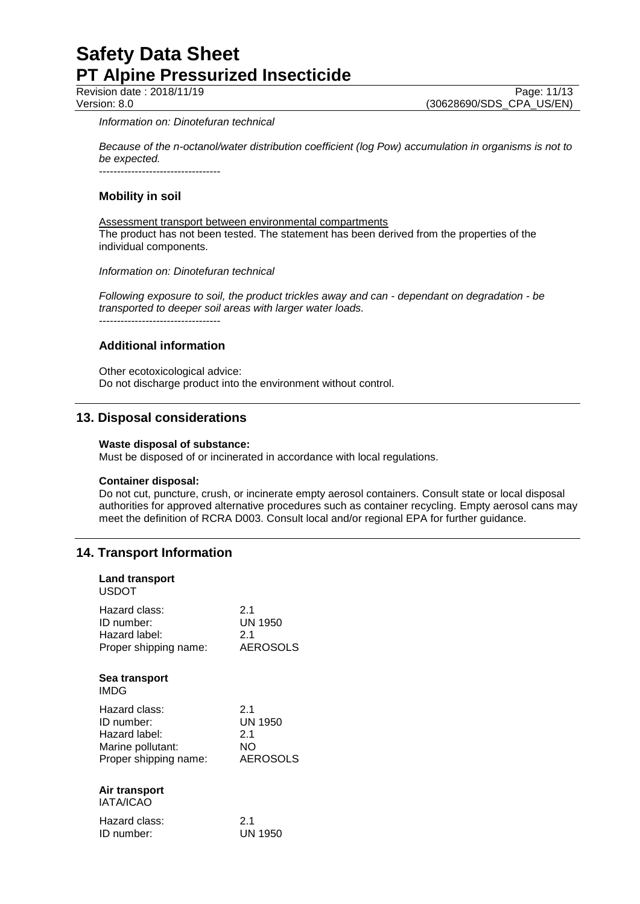Revision date : 2018/11/19 Page: 11/13<br>Version: 8.0 (30628690/SDS\_CPA\_US/EN) (30628690/SDS\_CPA\_US/EN)

#### *Information on: Dinotefuran technical*

*Because of the n-octanol/water distribution coefficient (log Pow) accumulation in organisms is not to be expected.*

----------------------------------

## **Mobility in soil**

Assessment transport between environmental compartments The product has not been tested. The statement has been derived from the properties of the individual components.

*Information on: Dinotefuran technical*

*Following exposure to soil, the product trickles away and can - dependant on degradation - be transported to deeper soil areas with larger water loads.* ----------------------------------

## **Additional information**

Other ecotoxicological advice: Do not discharge product into the environment without control.

## **13. Disposal considerations**

#### **Waste disposal of substance:**

Must be disposed of or incinerated in accordance with local regulations.

#### **Container disposal:**

Do not cut, puncture, crush, or incinerate empty aerosol containers. Consult state or local disposal authorities for approved alternative procedures such as container recycling. Empty aerosol cans may meet the definition of RCRA D003. Consult local and/or regional EPA for further guidance.

## **14. Transport Information**

| <b>Land transport</b><br>USDOT |          |
|--------------------------------|----------|
| Hazard class:                  | 2.1      |
| ID number:                     | UN 1950  |
| Hazard label:                  | 2.1      |
| Proper shipping name:          | AEROSOLS |
| Sea transport<br><b>IMDG</b>   |          |
| Hazard class:                  | 2.1      |
| ID number:                     | UN 1950  |
| Hazard label:                  | 2.1      |
| Marine pollutant:              | NΟ       |
| Proper shipping name:          | AEROSOLS |
| Air transport<br>IATA/ICAO     |          |
| Hazard class:                  | 2.1      |
| ID number:                     | UN 1950  |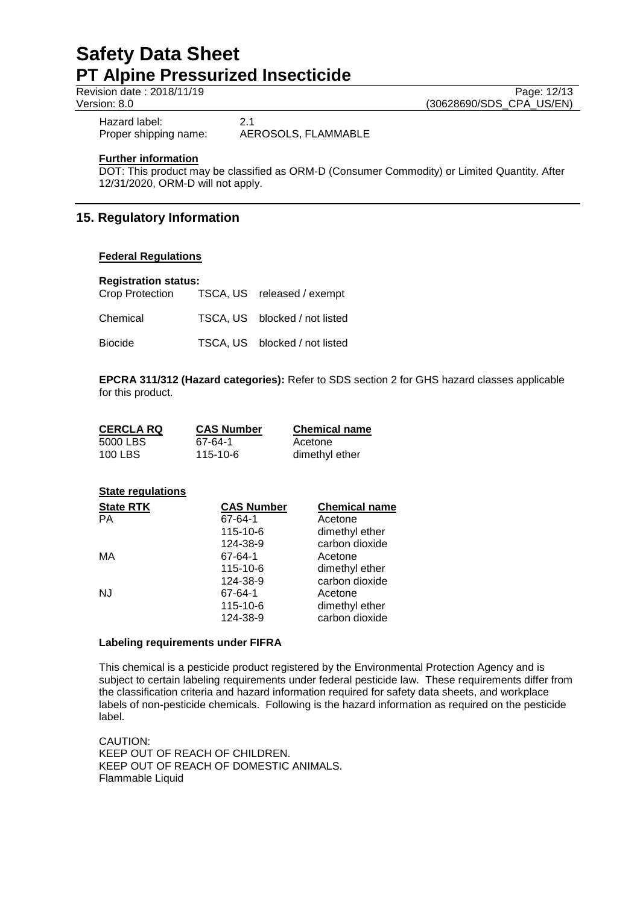Revision date : 2018/11/19 Page: 12/13<br>Version: 8.0 (30628690/SDS\_CPA\_US/EN) (30628690/SDS\_CPA\_US/EN)

Hazard label: 2.1<br>Proper shipping name: AE

AEROSOLS, FLAMMABLE

#### **Further information**

DOT: This product may be classified as ORM-D (Consumer Commodity) or Limited Quantity. After 12/31/2020, ORM-D will not apply.

## **15. Regulatory Information**

#### **Federal Regulations**

#### **Registration status:**

| Crop Protection | TSCA, US released / exempt    |
|-----------------|-------------------------------|
| Chemical        | TSCA. US blocked / not listed |
| <b>Biocide</b>  | TSCA, US blocked / not listed |

**EPCRA 311/312 (Hazard categories):** Refer to SDS section 2 for GHS hazard classes applicable for this product.

| <b>CERCLA RQ</b> | <b>CAS Number</b> | <b>Chemical name</b> |
|------------------|-------------------|----------------------|
| 5000 LBS         | 67-64-1           | Acetone              |
| 100 LBS          | 115-10-6          | dimethyl ether       |

| <b>State regulations</b> |                   |                      |
|--------------------------|-------------------|----------------------|
| <b>State RTK</b>         | <b>CAS Number</b> | <b>Chemical name</b> |
| PА                       | 67-64-1           | Acetone              |
|                          | 115-10-6          | dimethyl ether       |
|                          | 124-38-9          | carbon dioxide       |
| МA                       | 67-64-1           | Acetone              |
|                          | 115-10-6          | dimethyl ether       |
|                          | 124-38-9          | carbon dioxide       |
| NJ                       | 67-64-1           | Acetone              |
|                          | 115-10-6          | dimethyl ether       |
|                          | 124-38-9          | carbon dioxide       |

#### **Labeling requirements under FIFRA**

This chemical is a pesticide product registered by the Environmental Protection Agency and is subject to certain labeling requirements under federal pesticide law. These requirements differ from the classification criteria and hazard information required for safety data sheets, and workplace labels of non-pesticide chemicals. Following is the hazard information as required on the pesticide label.

CAUTION: KEEP OUT OF REACH OF CHILDREN. KEEP OUT OF REACH OF DOMESTIC ANIMALS. Flammable Liquid